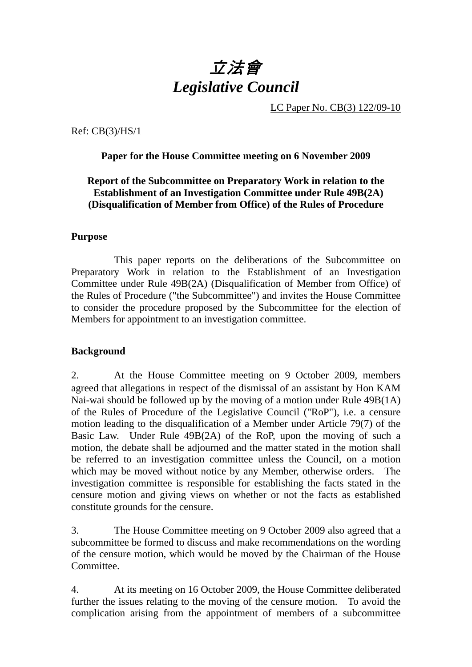# 立法會 *Legislative Council*

LC Paper No. CB(3) 122/09-10

Ref: CB(3)/HS/1

#### **Paper for the House Committee meeting on 6 November 2009**

#### **Report of the Subcommittee on Preparatory Work in relation to the Establishment of an Investigation Committee under Rule 49B(2A) (Disqualification of Member from Office) of the Rules of Procedure**

#### **Purpose**

 This paper reports on the deliberations of the Subcommittee on Preparatory Work in relation to the Establishment of an Investigation Committee under Rule 49B(2A) (Disqualification of Member from Office) of the Rules of Procedure ("the Subcommittee") and invites the House Committee to consider the procedure proposed by the Subcommittee for the election of Members for appointment to an investigation committee.

#### **Background**

2. At the House Committee meeting on 9 October 2009, members agreed that allegations in respect of the dismissal of an assistant by Hon KAM Nai-wai should be followed up by the moving of a motion under Rule 49B(1A) of the Rules of Procedure of the Legislative Council ("RoP"), i.e. a censure motion leading to the disqualification of a Member under Article 79(7) of the Basic Law. Under Rule 49B(2A) of the RoP, upon the moving of such a motion, the debate shall be adjourned and the matter stated in the motion shall be referred to an investigation committee unless the Council, on a motion which may be moved without notice by any Member, otherwise orders. The investigation committee is responsible for establishing the facts stated in the censure motion and giving views on whether or not the facts as established constitute grounds for the censure.

3. The House Committee meeting on 9 October 2009 also agreed that a subcommittee be formed to discuss and make recommendations on the wording of the censure motion, which would be moved by the Chairman of the House Committee.

4. At its meeting on 16 October 2009, the House Committee deliberated further the issues relating to the moving of the censure motion. To avoid the complication arising from the appointment of members of a subcommittee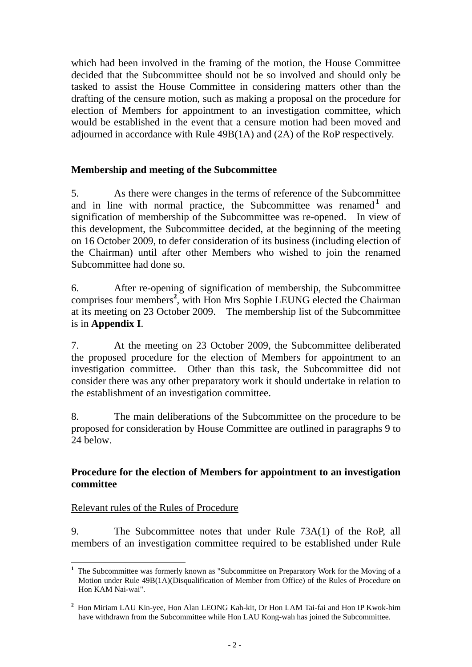which had been involved in the framing of the motion, the House Committee decided that the Subcommittee should not be so involved and should only be tasked to assist the House Committee in considering matters other than the drafting of the censure motion, such as making a proposal on the procedure for election of Members for appointment to an investigation committee, which would be established in the event that a censure motion had been moved and adjourned in accordance with Rule 49B(1A) and (2A) of the RoP respectively.

## **Membership and meeting of the Subcommittee**

5. As there were changes in the terms of reference of the Subcommittee and in line with normal practice, the Subcommittee was renamed <sup>1</sup> and signification of membership of the Subcommittee was re-opened. In view of this development, the Subcommittee decided, at the beginning of the meeting on 16 October 2009, to defer consideration of its business (including election of the Chairman) until after other Members who wished to join the renamed Subcommittee had done so.

6. After re-opening of signification of membership, the Subcommittee comprises four members**<sup>2</sup>** , with Hon Mrs Sophie LEUNG elected the Chairman at its meeting on 23 October 2009. The membership list of the Subcommittee is in **Appendix I**.

7. At the meeting on 23 October 2009, the Subcommittee deliberated the proposed procedure for the election of Members for appointment to an investigation committee. Other than this task, the Subcommittee did not consider there was any other preparatory work it should undertake in relation to the establishment of an investigation committee.

8. The main deliberations of the Subcommittee on the procedure to be proposed for consideration by House Committee are outlined in paragraphs 9 to 24 below.

#### **Procedure for the election of Members for appointment to an investigation committee**

## Relevant rules of the Rules of Procedure

9. The Subcommittee notes that under Rule 73A(1) of the RoP, all members of an investigation committee required to be established under Rule

 $\overline{a}$ **<sup>1</sup>** The Subcommittee was formerly known as "Subcommittee on Preparatory Work for the Moving of a Motion under Rule 49B(1A)(Disqualification of Member from Office) of the Rules of Procedure on Hon KAM Nai-wai".

**<sup>2</sup>** Hon Miriam LAU Kin-yee, Hon Alan LEONG Kah-kit, Dr Hon LAM Tai-fai and Hon IP Kwok-him have withdrawn from the Subcommittee while Hon LAU Kong-wah has joined the Subcommittee.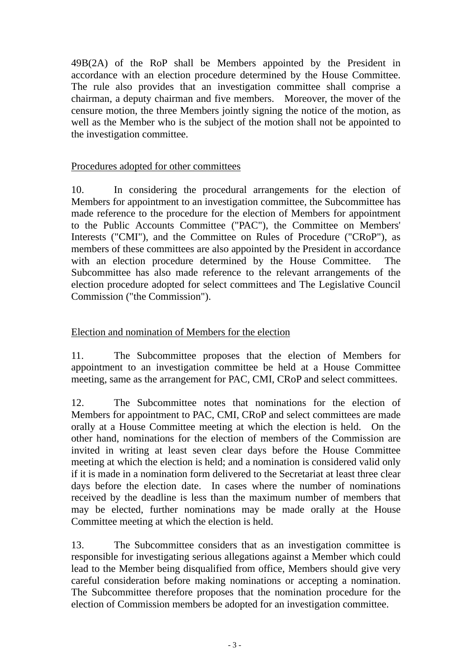49B(2A) of the RoP shall be Members appointed by the President in accordance with an election procedure determined by the House Committee. The rule also provides that an investigation committee shall comprise a chairman, a deputy chairman and five members. Moreover, the mover of the censure motion, the three Members jointly signing the notice of the motion, as well as the Member who is the subject of the motion shall not be appointed to the investigation committee.

#### Procedures adopted for other committees

10. In considering the procedural arrangements for the election of Members for appointment to an investigation committee, the Subcommittee has made reference to the procedure for the election of Members for appointment to the Public Accounts Committee ("PAC"), the Committee on Members' Interests ("CMI"), and the Committee on Rules of Procedure ("CRoP"), as members of these committees are also appointed by the President in accordance with an election procedure determined by the House Committee. The Subcommittee has also made reference to the relevant arrangements of the election procedure adopted for select committees and The Legislative Council Commission ("the Commission").

#### Election and nomination of Members for the election

11. The Subcommittee proposes that the election of Members for appointment to an investigation committee be held at a House Committee meeting, same as the arrangement for PAC, CMI, CRoP and select committees.

12. The Subcommittee notes that nominations for the election of Members for appointment to PAC, CMI, CRoP and select committees are made orally at a House Committee meeting at which the election is held. On the other hand, nominations for the election of members of the Commission are invited in writing at least seven clear days before the House Committee meeting at which the election is held; and a nomination is considered valid only if it is made in a nomination form delivered to the Secretariat at least three clear days before the election date. In cases where the number of nominations received by the deadline is less than the maximum number of members that may be elected, further nominations may be made orally at the House Committee meeting at which the election is held.

13. The Subcommittee considers that as an investigation committee is responsible for investigating serious allegations against a Member which could lead to the Member being disqualified from office, Members should give very careful consideration before making nominations or accepting a nomination. The Subcommittee therefore proposes that the nomination procedure for the election of Commission members be adopted for an investigation committee.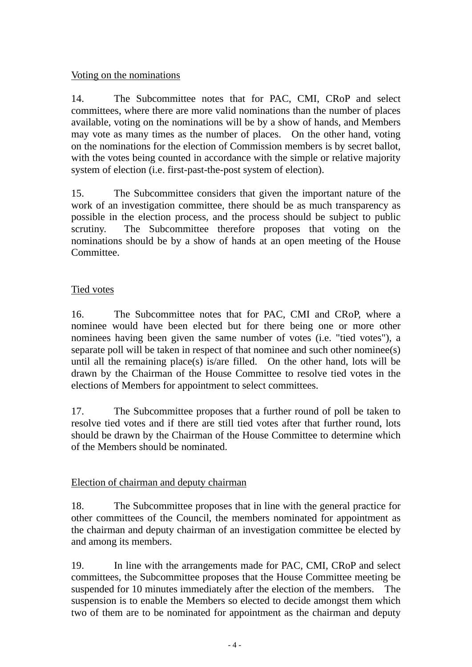#### Voting on the nominations

14. The Subcommittee notes that for PAC, CMI, CRoP and select committees, where there are more valid nominations than the number of places available, voting on the nominations will be by a show of hands, and Members may vote as many times as the number of places. On the other hand, voting on the nominations for the election of Commission members is by secret ballot, with the votes being counted in accordance with the simple or relative majority system of election (i.e. first-past-the-post system of election).

15. The Subcommittee considers that given the important nature of the work of an investigation committee, there should be as much transparency as possible in the election process, and the process should be subject to public scrutiny. The Subcommittee therefore proposes that voting on the nominations should be by a show of hands at an open meeting of the House Committee.

#### Tied votes

16. The Subcommittee notes that for PAC, CMI and CRoP, where a nominee would have been elected but for there being one or more other nominees having been given the same number of votes (i.e. "tied votes"), a separate poll will be taken in respect of that nominee and such other nominee(s) until all the remaining place(s) is/are filled. On the other hand, lots will be drawn by the Chairman of the House Committee to resolve tied votes in the elections of Members for appointment to select committees.

17. The Subcommittee proposes that a further round of poll be taken to resolve tied votes and if there are still tied votes after that further round, lots should be drawn by the Chairman of the House Committee to determine which of the Members should be nominated.

## Election of chairman and deputy chairman

18. The Subcommittee proposes that in line with the general practice for other committees of the Council, the members nominated for appointment as the chairman and deputy chairman of an investigation committee be elected by and among its members.

19. In line with the arrangements made for PAC, CMI, CRoP and select committees, the Subcommittee proposes that the House Committee meeting be suspended for 10 minutes immediately after the election of the members. The suspension is to enable the Members so elected to decide amongst them which two of them are to be nominated for appointment as the chairman and deputy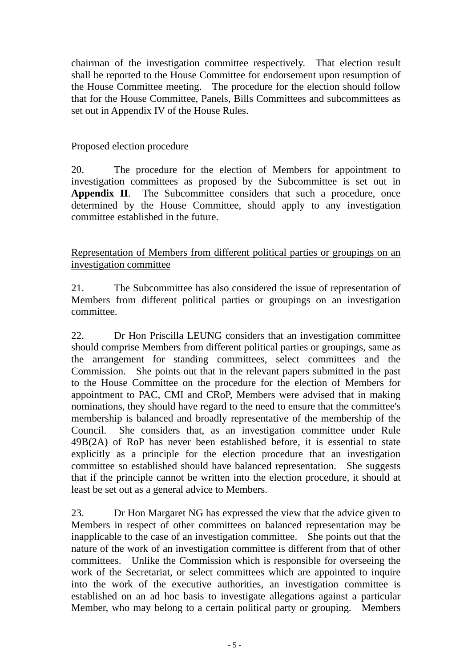chairman of the investigation committee respectively. That election result shall be reported to the House Committee for endorsement upon resumption of the House Committee meeting. The procedure for the election should follow that for the House Committee, Panels, Bills Committees and subcommittees as set out in Appendix IV of the House Rules.

#### Proposed election procedure

20. The procedure for the election of Members for appointment to investigation committees as proposed by the Subcommittee is set out in **Appendix II.** The Subcommittee considers that such a procedure, once determined by the House Committee, should apply to any investigation committee established in the future.

Representation of Members from different political parties or groupings on an investigation committee

21. The Subcommittee has also considered the issue of representation of Members from different political parties or groupings on an investigation committee.

22. Dr Hon Priscilla LEUNG considers that an investigation committee should comprise Members from different political parties or groupings, same as the arrangement for standing committees, select committees and the Commission. She points out that in the relevant papers submitted in the past to the House Committee on the procedure for the election of Members for appointment to PAC, CMI and CRoP, Members were advised that in making nominations, they should have regard to the need to ensure that the committee's membership is balanced and broadly representative of the membership of the Council. She considers that, as an investigation committee under Rule 49B(2A) of RoP has never been established before, it is essential to state explicitly as a principle for the election procedure that an investigation committee so established should have balanced representation. She suggests that if the principle cannot be written into the election procedure, it should at least be set out as a general advice to Members.

23. Dr Hon Margaret NG has expressed the view that the advice given to Members in respect of other committees on balanced representation may be inapplicable to the case of an investigation committee. She points out that the nature of the work of an investigation committee is different from that of other committees. Unlike the Commission which is responsible for overseeing the work of the Secretariat, or select committees which are appointed to inquire into the work of the executive authorities, an investigation committee is established on an ad hoc basis to investigate allegations against a particular Member, who may belong to a certain political party or grouping. Members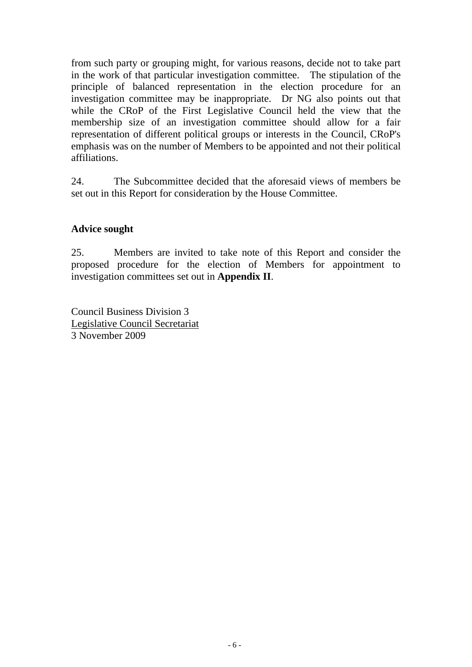from such party or grouping might, for various reasons, decide not to take part in the work of that particular investigation committee. The stipulation of the principle of balanced representation in the election procedure for an investigation committee may be inappropriate. Dr NG also points out that while the CRoP of the First Legislative Council held the view that the membership size of an investigation committee should allow for a fair representation of different political groups or interests in the Council, CRoP's emphasis was on the number of Members to be appointed and not their political affiliations.

24. The Subcommittee decided that the aforesaid views of members be set out in this Report for consideration by the House Committee.

#### **Advice sought**

25. Members are invited to take note of this Report and consider the proposed procedure for the election of Members for appointment to investigation committees set out in **Appendix II**.

Council Business Division 3 Legislative Council Secretariat 3 November 2009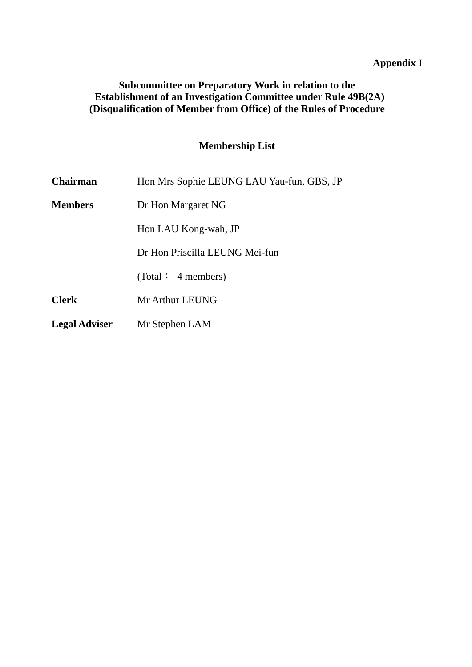# **Appendix I**

#### **Subcommittee on Preparatory Work in relation to the Establishment of an Investigation Committee under Rule 49B(2A) (Disqualification of Member from Office) of the Rules of Procedure**

# **Membership List**

| Chairman             | Hon Mrs Sophie LEUNG LAU Yau-fun, GBS, JP |
|----------------------|-------------------------------------------|
| <b>Members</b>       | Dr Hon Margaret NG                        |
|                      | Hon LAU Kong-wah, JP                      |
|                      | Dr Hon Priscilla LEUNG Mei-fun            |
|                      | (Total: 4 members)                        |
| <b>Clerk</b>         | Mr Arthur LEUNG                           |
| <b>Legal Adviser</b> | Mr Stephen LAM                            |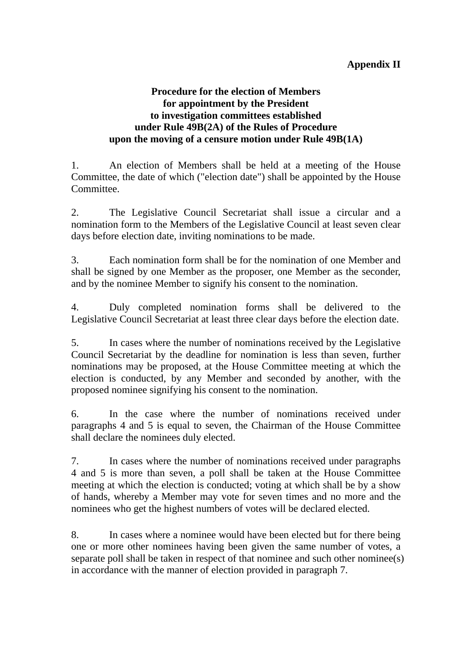#### **Procedure for the election of Members for appointment by the President to investigation committees established under Rule 49B(2A) of the Rules of Procedure upon the moving of a censure motion under Rule 49B(1A)**

1. An election of Members shall be held at a meeting of the House Committee, the date of which ("election date") shall be appointed by the House Committee.

2. The Legislative Council Secretariat shall issue a circular and a nomination form to the Members of the Legislative Council at least seven clear days before election date, inviting nominations to be made.

3. Each nomination form shall be for the nomination of one Member and shall be signed by one Member as the proposer, one Member as the seconder, and by the nominee Member to signify his consent to the nomination.

4. Duly completed nomination forms shall be delivered to the Legislative Council Secretariat at least three clear days before the election date.

5. In cases where the number of nominations received by the Legislative Council Secretariat by the deadline for nomination is less than seven, further nominations may be proposed, at the House Committee meeting at which the election is conducted, by any Member and seconded by another, with the proposed nominee signifying his consent to the nomination.

6. In the case where the number of nominations received under paragraphs 4 and 5 is equal to seven, the Chairman of the House Committee shall declare the nominees duly elected.

7. In cases where the number of nominations received under paragraphs 4 and 5 is more than seven, a poll shall be taken at the House Committee meeting at which the election is conducted; voting at which shall be by a show of hands, whereby a Member may vote for seven times and no more and the nominees who get the highest numbers of votes will be declared elected.

8. In cases where a nominee would have been elected but for there being one or more other nominees having been given the same number of votes, a separate poll shall be taken in respect of that nominee and such other nominee(s) in accordance with the manner of election provided in paragraph 7.